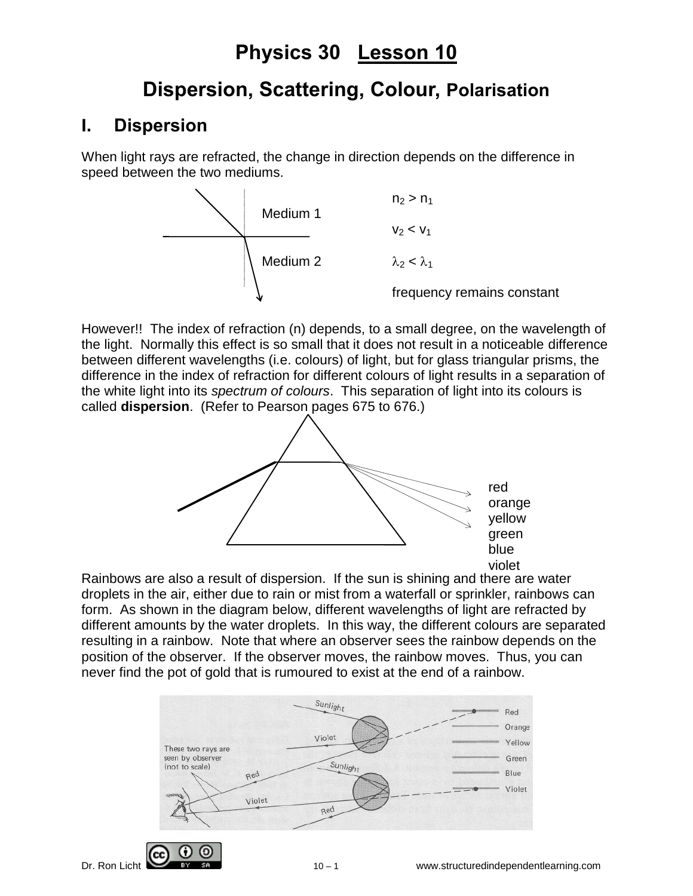# **Physics 30 Lesson 10**

# **Dispersion, Scattering, Colour, Polarisation**

## **I. Dispersion**

When light rays are refracted, the change in direction depends on the difference in speed between the two mediums.



However!! The index of refraction (n) depends, to a small degree, on the wavelength of the light. Normally this effect is so small that it does not result in a noticeable difference between different wavelengths (i.e. colours) of light, but for glass triangular prisms, the difference in the index of refraction for different colours of light results in a separation of the white light into its *spectrum of colours*. This separation of light into its colours is called **dispersion**. (Refer to Pearson pages 675 to 676.)



Rainbows are also a result of dispersion. If the sun is shining and there are water droplets in the air, either due to rain or mist from a waterfall or sprinkler, rainbows can form. As shown in the diagram below, different wavelengths of light are refracted by different amounts by the water droplets. In this way, the different colours are separated resulting in a rainbow. Note that where an observer sees the rainbow depends on the position of the observer. If the observer moves, the rainbow moves. Thus, you can never find the pot of gold that is rumoured to exist at the end of a rainbow.

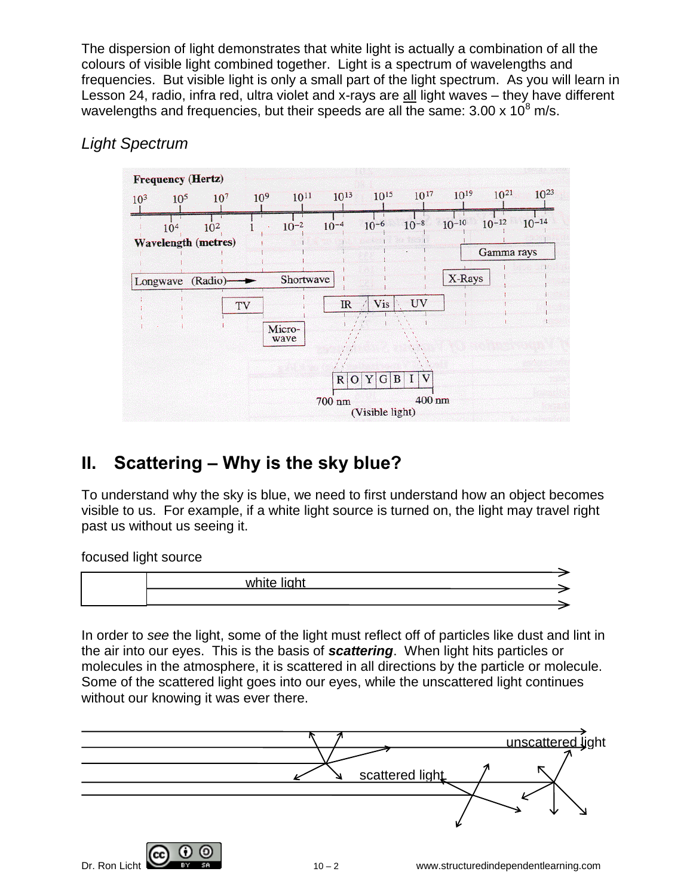The dispersion of light demonstrates that white light is actually a combination of all the colours of visible light combined together. Light is a spectrum of wavelengths and frequencies. But visible light is only a small part of the light spectrum. As you will learn in Lesson 24, radio, infra red, ultra violet and x-rays are all light waves – they have different wavelengths and frequencies, but their speeds are all the same:  $3.00 \times 10^8$  m/s.

#### *Light Spectrum*



# **II. Scattering – Why is the sky blue?**

To understand why the sky is blue, we need to first understand how an object becomes visible to us. For example, if a white light source is turned on, the light may travel right past us without us seeing it.

focused light source



In order to *see* the light, some of the light must reflect off of particles like dust and lint in the air into our eyes. This is the basis of *scattering*. When light hits particles or molecules in the atmosphere, it is scattered in all directions by the particle or molecule. Some of the scattered light goes into our eyes, while the unscattered light continues without our knowing it was ever there.



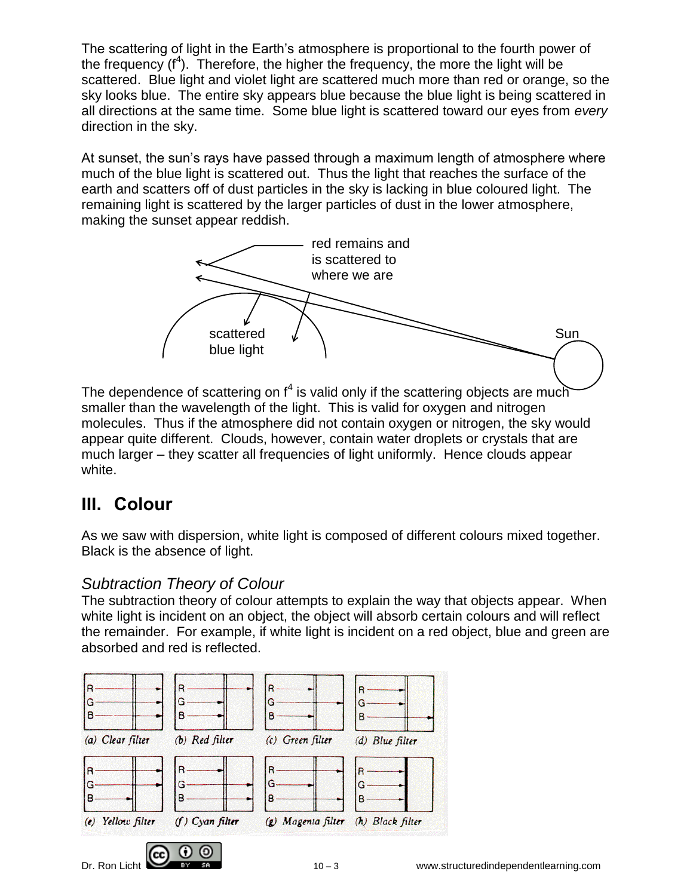The scattering of light in the Earth's atmosphere is proportional to the fourth power of the frequency  $(f<sup>4</sup>)$ . Therefore, the higher the frequency, the more the light will be scattered. Blue light and violet light are scattered much more than red or orange, so the sky looks blue. The entire sky appears blue because the blue light is being scattered in all directions at the same time. Some blue light is scattered toward our eyes from *every* direction in the sky.

At sunset, the sun's rays have passed through a maximum length of atmosphere where much of the blue light is scattered out. Thus the light that reaches the surface of the earth and scatters off of dust particles in the sky is lacking in blue coloured light. The remaining light is scattered by the larger particles of dust in the lower atmosphere, making the sunset appear reddish.



The dependence of scattering on  $f^4$  is valid only if the scattering objects are much smaller than the wavelength of the light. This is valid for oxygen and nitrogen molecules. Thus if the atmosphere did not contain oxygen or nitrogen, the sky would appear quite different. Clouds, however, contain water droplets or crystals that are much larger – they scatter all frequencies of light uniformly. Hence clouds appear white.

## **III. Colour**

As we saw with dispersion, white light is composed of different colours mixed together. Black is the absence of light.

#### *Subtraction Theory of Colour*

The subtraction theory of colour attempts to explain the way that objects appear. When white light is incident on an object, the object will absorb certain colours and will reflect the remainder. For example, if white light is incident on a red object, blue and green are absorbed and red is reflected.

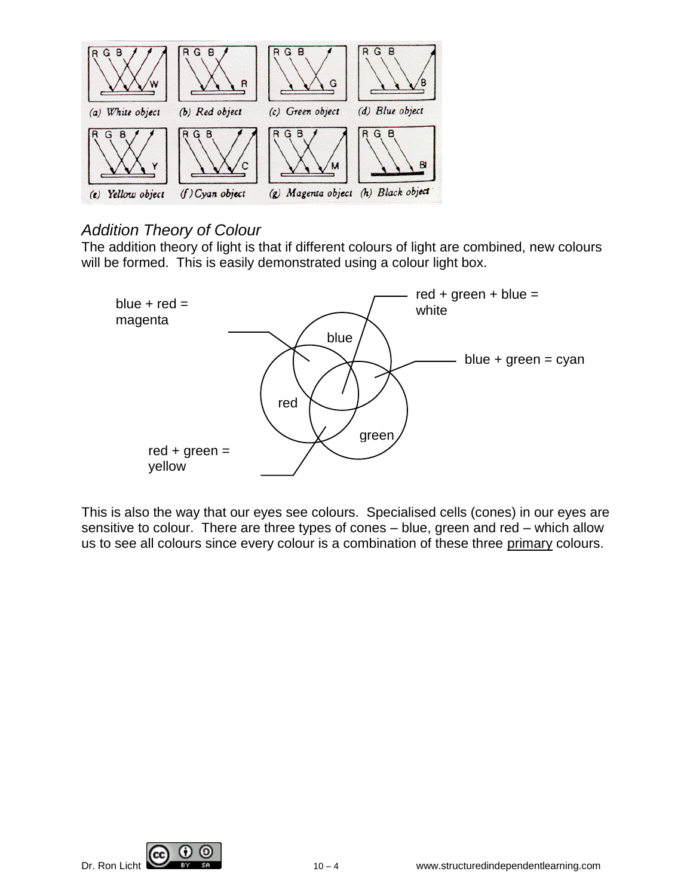

#### *Addition Theory of Colour*

The addition theory of light is that if different colours of light are combined, new colours will be formed. This is easily demonstrated using a colour light box.



This is also the way that our eyes see colours. Specialised cells (cones) in our eyes are sensitive to colour. There are three types of cones – blue, green and red – which allow us to see all colours since every colour is a combination of these three primary colours.



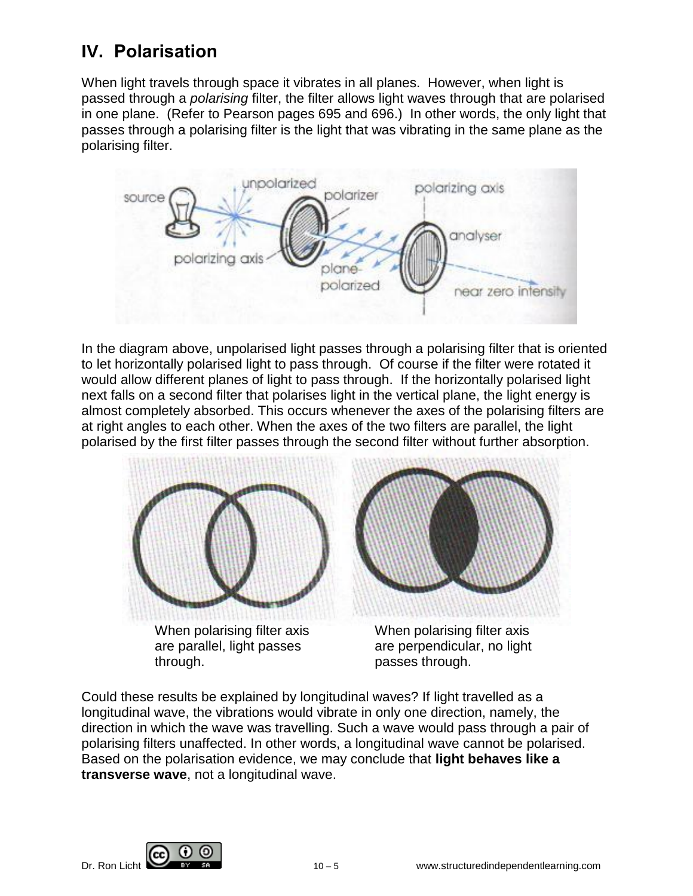## **IV. Polarisation**

When light travels through space it vibrates in all planes. However, when light is passed through a *polarising* filter, the filter allows light waves through that are polarised in one plane. (Refer to Pearson pages 695 and 696.) In other words, the only light that passes through a polarising filter is the light that was vibrating in the same plane as the polarising filter.



In the diagram above, unpolarised light passes through a polarising filter that is oriented to let horizontally polarised light to pass through. Of course if the filter were rotated it would allow different planes of light to pass through. If the horizontally polarised light next falls on a second filter that polarises light in the vertical plane, the light energy is almost completely absorbed. This occurs whenever the axes of the polarising filters are at right angles to each other. When the axes of the two filters are parallel, the light polarised by the first filter passes through the second filter without further absorption.



When polarising filter axis are parallel, light passes through.



When polarising filter axis are perpendicular, no light passes through.

Could these results be explained by longitudinal waves? If light travelled as a longitudinal wave, the vibrations would vibrate in only one direction, namely, the direction in which the wave was travelling. Such a wave would pass through a pair of polarising filters unaffected. In other words, a longitudinal wave cannot be polarised. Based on the polarisation evidence, we may conclude that **light behaves like a transverse wave**, not a longitudinal wave.

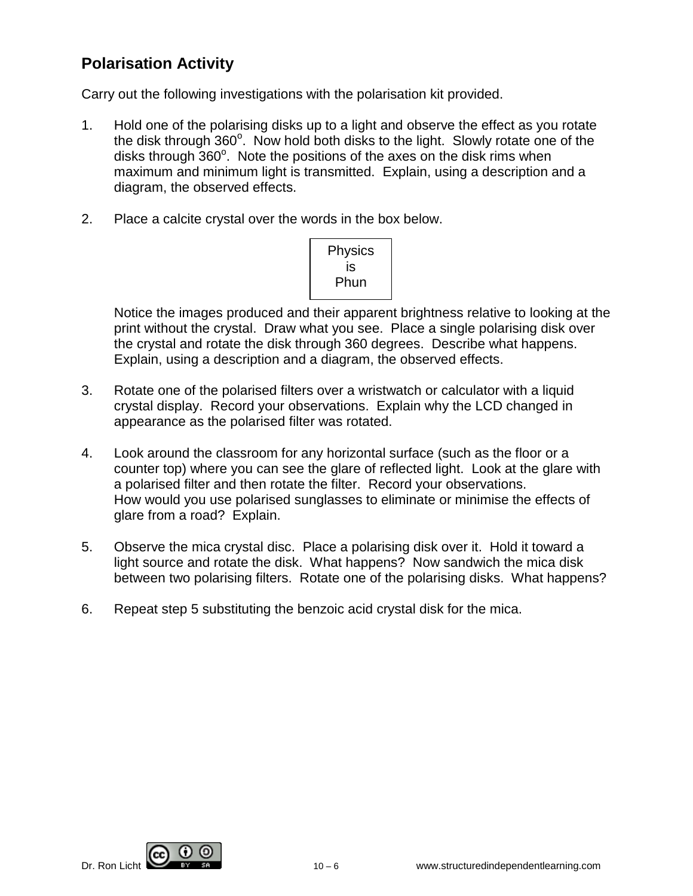#### **Polarisation Activity**

Carry out the following investigations with the polarisation kit provided.

- 1. Hold one of the polarising disks up to a light and observe the effect as you rotate the disk through  $360^\circ$ . Now hold both disks to the light. Slowly rotate one of the disks through 360°. Note the positions of the axes on the disk rims when maximum and minimum light is transmitted. Explain, using a description and a diagram, the observed effects.
- 2. Place a calcite crystal over the words in the box below.



Notice the images produced and their apparent brightness relative to looking at the print without the crystal. Draw what you see. Place a single polarising disk over the crystal and rotate the disk through 360 degrees. Describe what happens. Explain, using a description and a diagram, the observed effects.

- 3. Rotate one of the polarised filters over a wristwatch or calculator with a liquid crystal display. Record your observations. Explain why the LCD changed in appearance as the polarised filter was rotated.
- 4. Look around the classroom for any horizontal surface (such as the floor or a counter top) where you can see the glare of reflected light. Look at the glare with a polarised filter and then rotate the filter. Record your observations. How would you use polarised sunglasses to eliminate or minimise the effects of glare from a road? Explain.
- 5. Observe the mica crystal disc. Place a polarising disk over it. Hold it toward a light source and rotate the disk. What happens? Now sandwich the mica disk between two polarising filters. Rotate one of the polarising disks. What happens?
- 6. Repeat step 5 substituting the benzoic acid crystal disk for the mica.